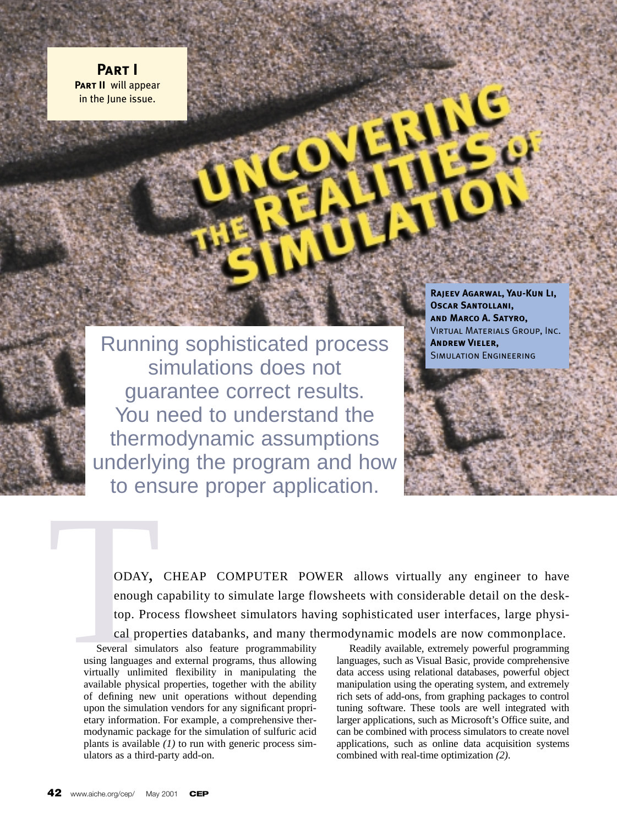**Part I Part II** will appear in the June issue.

> Running sophisticated process simulations does not guarantee correct results. You need to understand the thermodynamic assumptions underlying the program and how to ensure proper application.

**Rajeev Agarwal, Yau-Kun Li, Oscar Santollani, and Marco A. Satyro,** Virtual Materials Group, Inc. **Andrew Vieler,** Simulation Engineering

ODAY, CHEAP COMPUTER POWER allows virtually any engineer to have enough capability to simulate large flowsheets with considerable detail on the desktop. Process flowsheet simulators having sophisticated user interfaces, large physical properties databanks, and many thermodynamic models are now commonplace.

Several simulators also feature programmability using languages and external programs, thus allowing virtually unlimited flexibility in manipulating the available physical properties, together with the ability of defining new unit operations without depending upon the simulation vendors for any significant proprietary information. For example, a comprehensive thermodynamic package for the simulation of sulfuric acid plants is available *(1)* to run with generic process simulators as a third-party add-on. ODAY,<br>
enough c<br>
top. Proc<br>
cal prope<br>
Several simula<br>
using languages a<br>
virtually unlimite

Readily available, extremely powerful programming languages, such as Visual Basic, provide comprehensive data access using relational databases, powerful object manipulation using the operating system, and extremely rich sets of add-ons, from graphing packages to control tuning software. These tools are well integrated with larger applications, such as Microsoft's Office suite, and can be combined with process simulators to create novel applications, such as online data acquisition systems combined with real-time optimization *(2)*.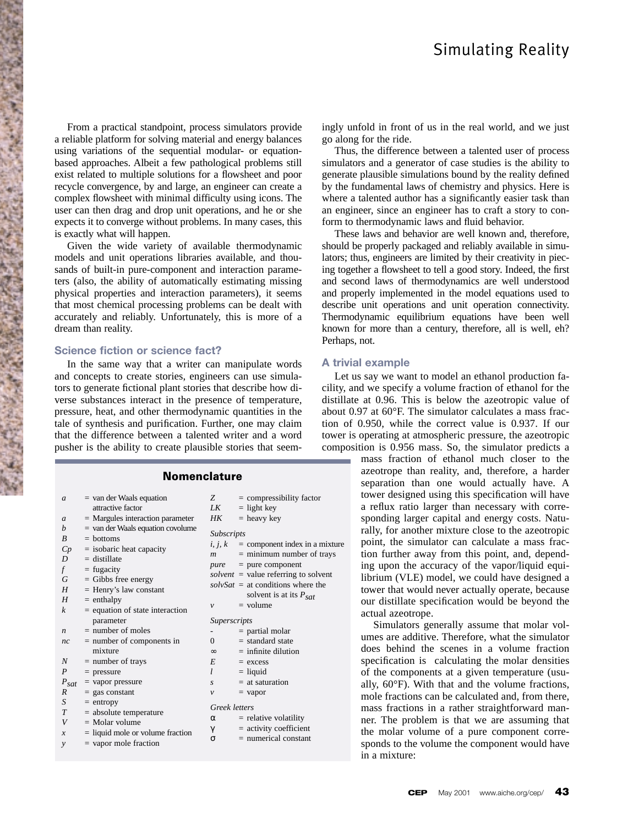From a practical standpoint, process simulators provide a reliable platform for solving material and energy balances using variations of the sequential modular- or equationbased approaches. Albeit a few pathological problems still exist related to multiple solutions for a flowsheet and poor recycle convergence, by and large, an engineer can create a complex flowsheet with minimal difficulty using icons. The user can then drag and drop unit operations, and he or she expects it to converge without problems. In many cases, this is exactly what will happen.

Given the wide variety of available thermodynamic models and unit operations libraries available, and thousands of built-in pure-component and interaction parameters (also, the ability of automatically estimating missing physical properties and interaction parameters), it seems that most chemical processing problems can be dealt with accurately and reliably. Unfortunately, this is more of a dream than reality.

### **Science fiction or science fact?**

In the same way that a writer can manipulate words and concepts to create stories, engineers can use simulators to generate fictional plant stories that describe how diverse substances interact in the presence of temperature, pressure, heat, and other thermodynamic quantities in the tale of synthesis and purification. Further, one may claim that the difference between a talented writer and a word pusher is the ability to create plausible stories that seem-

## **Nomenclature**

| $\mathfrak{a}$                        | $=$ van der Waals equation                                                                                                                                              | Z                                                        | $=$ compressibility factor                                                                                                                                           |
|---------------------------------------|-------------------------------------------------------------------------------------------------------------------------------------------------------------------------|----------------------------------------------------------|----------------------------------------------------------------------------------------------------------------------------------------------------------------------|
|                                       | attractive factor                                                                                                                                                       | LK                                                       | $=$ light key                                                                                                                                                        |
| $\boldsymbol{a}$                      | $=$ Margules interaction parameter                                                                                                                                      | HK                                                       | $=$ heavy key                                                                                                                                                        |
| h<br>R<br>Cp<br>D<br>$\int$<br>G<br>H | $=$ van der Waals equation covolume<br>$=$ bottoms<br>$=$ isobaric heat capacity<br>$=$ distillate<br>$=$ fugacity<br>$=$ Gibbs free energy<br>$=$ Henry's law constant | <b>Subscripts</b><br>i, j, k<br>$\boldsymbol{m}$<br>pure | $=$ component index in a mixture<br>$=$ minimum number of trays<br>$=$ pure component<br>solvent = value referring to solvent<br>$solvSat =$ at conditions where the |
| H                                     | $=$ enthalpy                                                                                                                                                            |                                                          | solvent is at its $P_{sat}$                                                                                                                                          |
| $\boldsymbol{k}$                      | = equation of state interaction                                                                                                                                         | $\mathcal{V}$                                            | $=$ volume                                                                                                                                                           |
|                                       | parameter                                                                                                                                                               | Superscripts                                             |                                                                                                                                                                      |
| n                                     | $=$ number of moles                                                                                                                                                     |                                                          | $=$ partial molar                                                                                                                                                    |
| nc                                    | $=$ number of components in                                                                                                                                             | $\Omega$                                                 | $=$ standard state                                                                                                                                                   |
|                                       | mixture                                                                                                                                                                 | $\infty$                                                 | $=$ infinite dilution                                                                                                                                                |
| N                                     | $=$ number of trays                                                                                                                                                     | E                                                        | $=$ excess                                                                                                                                                           |
| P                                     | $=$ pressure                                                                                                                                                            | l                                                        | $=$ liquid                                                                                                                                                           |
| $P_{\text{sat}}$                      | $=$ vapor pressure                                                                                                                                                      | S                                                        | $=$ at saturation                                                                                                                                                    |
| R                                     | $=$ gas constant                                                                                                                                                        | $\mathcal V$                                             | $=$ vapor                                                                                                                                                            |
| S                                     | $=$ entropy                                                                                                                                                             |                                                          |                                                                                                                                                                      |
| T                                     | $=$ absolute temperature                                                                                                                                                | <b>Greek</b> letters                                     |                                                                                                                                                                      |
| V                                     | $=$ Molar volume                                                                                                                                                        | $\alpha$                                                 | $=$ relative volatility                                                                                                                                              |
|                                       |                                                                                                                                                                         | γ                                                        | $=$ activity coefficient                                                                                                                                             |
| $\mathcal{X}$                         | $=$ liquid mole or volume fraction                                                                                                                                      | $\sigma$                                                 | $=$ numerical constant                                                                                                                                               |
| $\mathcal{V}$                         | $=$ vapor mole fraction                                                                                                                                                 |                                                          |                                                                                                                                                                      |
|                                       |                                                                                                                                                                         |                                                          |                                                                                                                                                                      |

ingly unfold in front of us in the real world, and we just go along for the ride.

Thus, the difference between a talented user of process simulators and a generator of case studies is the ability to generate plausible simulations bound by the reality defined by the fundamental laws of chemistry and physics. Here is where a talented author has a significantly easier task than an engineer, since an engineer has to craft a story to conform to thermodynamic laws and fluid behavior.

These laws and behavior are well known and, therefore, should be properly packaged and reliably available in simulators; thus, engineers are limited by their creativity in piecing together a flowsheet to tell a good story. Indeed, the first and second laws of thermodynamics are well understood and properly implemented in the model equations used to describe unit operations and unit operation connectivity. Thermodynamic equilibrium equations have been well known for more than a century, therefore, all is well, eh? Perhaps, not.

#### **A trivial example**

Let us say we want to model an ethanol production facility, and we specify a volume fraction of ethanol for the distillate at 0.96. This is below the azeotropic value of about 0.97 at 60°F. The simulator calculates a mass fraction of 0.950, while the correct value is 0.937. If our tower is operating at atmospheric pressure, the azeotropic composition is 0.956 mass. So, the simulator predicts a

> mass fraction of ethanol much closer to the azeotrope than reality, and, therefore, a harder separation than one would actually have. A tower designed using this specification will have a reflux ratio larger than necessary with corresponding larger capital and energy costs. Naturally, for another mixture close to the azeotropic point, the simulator can calculate a mass fraction further away from this point, and, depending upon the accuracy of the vapor/liquid equilibrium (VLE) model, we could have designed a tower that would never actually operate, because our distillate specification would be beyond the actual azeotrope.

> Simulators generally assume that molar volumes are additive. Therefore, what the simulator does behind the scenes in a volume fraction specification is calculating the molar densities of the components at a given temperature (usually, 60°F). With that and the volume fractions, mole fractions can be calculated and, from there, mass fractions in a rather straightforward manner. The problem is that we are assuming that the molar volume of a pure component corresponds to the volume the component would have in a mixture: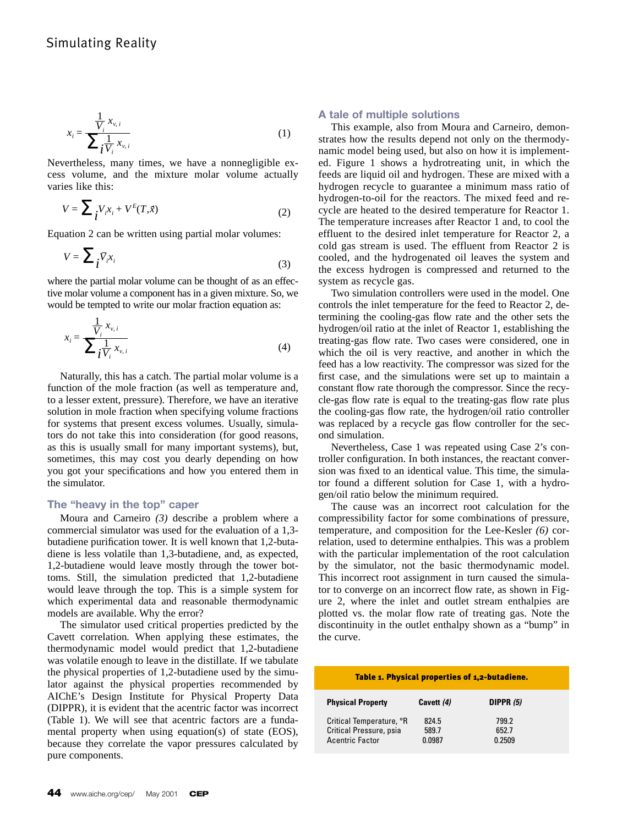$$
x_i = \frac{\frac{1}{V_i} x_{v,i}}{\sum_i \frac{1}{V_i} x_{v,i}}
$$
\n
$$
(1)
$$

Nevertheless, many times, we have a nonnegligible excess volume, and the mixture molar volume actually varies like this:

$$
V = \sum_{i} V_i x_i + V^E(T, \vec{x})
$$
 (2)

Equation 2 can be written using partial molar volumes:

$$
V = \sum_{i} \bar{V}_{i} x_{i} \tag{3}
$$

where the partial molar volume can be thought of as an effective molar volume a component has in a given mixture. So, we would be tempted to write our molar fraction equation as:

$$
x_i = \frac{\frac{1}{V_i} x_{v,i}}{\sum_i \frac{1}{V_i} x_{v,i}}\tag{4}
$$

Naturally, this has a catch. The partial molar volume is a function of the mole fraction (as well as temperature and, to a lesser extent, pressure). Therefore, we have an iterative solution in mole fraction when specifying volume fractions for systems that present excess volumes. Usually, simulators do not take this into consideration (for good reasons, as this is usually small for many important systems), but, sometimes, this may cost you dearly depending on how you got your specifications and how you entered them in the simulator.

## **The "heavy in the top" caper**

Moura and Carneiro *(3)* describe a problem where a commercial simulator was used for the evaluation of a 1,3 butadiene purification tower. It is well known that 1,2-butadiene is less volatile than 1,3-butadiene, and, as expected, 1,2-butadiene would leave mostly through the tower bottoms. Still, the simulation predicted that 1,2-butadiene would leave through the top. This is a simple system for which experimental data and reasonable thermodynamic models are available. Why the error?

The simulator used critical properties predicted by the Cavett correlation*.* When applying these estimates, the thermodynamic model would predict that 1,2-butadiene was volatile enough to leave in the distillate. If we tabulate the physical properties of 1,2-butadiene used by the simulator against the physical properties recommended by AIChE's Design Institute for Physical Property Data (DIPPR), it is evident that the acentric factor was incorrect (Table 1). We will see that acentric factors are a fundamental property when using equation(s) of state (EOS), because they correlate the vapor pressures calculated by pure components.

## **A tale of multiple solutions**

This example, also from Moura and Carneiro, demonstrates how the results depend not only on the thermodynamic model being used, but also on how it is implemented. Figure 1 shows a hydrotreating unit, in which the feeds are liquid oil and hydrogen. These are mixed with a hydrogen recycle to guarantee a minimum mass ratio of hydrogen-to-oil for the reactors. The mixed feed and recycle are heated to the desired temperature for Reactor 1. The temperature increases after Reactor 1 and, to cool the effluent to the desired inlet temperature for Reactor 2, a cold gas stream is used. The effluent from Reactor 2 is cooled, and the hydrogenated oil leaves the system and the excess hydrogen is compressed and returned to the system as recycle gas.

Two simulation controllers were used in the model. One controls the inlet temperature for the feed to Reactor 2, determining the cooling-gas flow rate and the other sets the hydrogen/oil ratio at the inlet of Reactor 1, establishing the treating-gas flow rate. Two cases were considered, one in which the oil is very reactive, and another in which the feed has a low reactivity. The compressor was sized for the first case, and the simulations were set up to maintain a constant flow rate thorough the compressor. Since the recycle-gas flow rate is equal to the treating-gas flow rate plus the cooling-gas flow rate, the hydrogen/oil ratio controller was replaced by a recycle gas flow controller for the second simulation.

Nevertheless, Case 1 was repeated using Case 2's controller configuration. In both instances, the reactant conversion was fixed to an identical value. This time, the simulator found a different solution for Case 1, with a hydrogen/oil ratio below the minimum required.

The cause was an incorrect root calculation for the compressibility factor for some combinations of pressure, temperature, and composition for the Lee-Kesler *(6)* correlation, used to determine enthalpies. This was a problem with the particular implementation of the root calculation by the simulator, not the basic thermodynamic model. This incorrect root assignment in turn caused the simulator to converge on an incorrect flow rate, as shown in Figure 2, where the inlet and outlet stream enthalpies are plotted vs. the molar flow rate of treating gas. Note the discontinuity in the outlet enthalpy shown as a "bump" in the curve.

# Table 1. Physical properties of 1,2-butadiene.

| <b>Physical Property</b> | Cavett (4) | DIPPR $(5)$ |
|--------------------------|------------|-------------|
| Critical Temperature, °R | 824.5      | 799.2       |
| Critical Pressure, psia  | 589.7      | 652.7       |
| <b>Acentric Factor</b>   | 0.0987     | 0.2509      |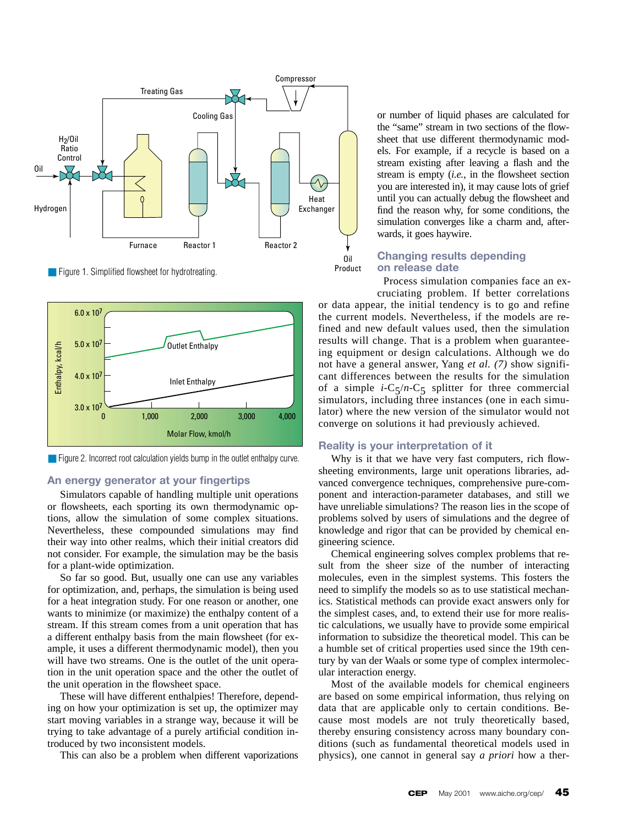

■ Figure 1. Simplified flowsheet for hydrotreating.



■ Figure 2. Incorrect root calculation yields bump in the outlet enthalpy curve.

## **An energy generator at your fingertips**

Simulators capable of handling multiple unit operations or flowsheets, each sporting its own thermodynamic options, allow the simulation of some complex situations. Nevertheless, these compounded simulations may find their way into other realms, which their initial creators did not consider. For example, the simulation may be the basis for a plant-wide optimization.

So far so good. But, usually one can use any variables for optimization, and, perhaps, the simulation is being used for a heat integration study. For one reason or another, one wants to minimize (or maximize) the enthalpy content of a stream. If this stream comes from a unit operation that has a different enthalpy basis from the main flowsheet (for example, it uses a different thermodynamic model), then you will have two streams. One is the outlet of the unit operation in the unit operation space and the other the outlet of the unit operation in the flowsheet space.

These will have different enthalpies! Therefore, depending on how your optimization is set up, the optimizer may start moving variables in a strange way, because it will be trying to take advantage of a purely artificial condition introduced by two inconsistent models.

This can also be a problem when different vaporizations

or number of liquid phases are calculated for the "same" stream in two sections of the flowsheet that use different thermodynamic models. For example, if a recycle is based on a stream existing after leaving a flash and the stream is empty (*i.e.*, in the flowsheet section you are interested in), it may cause lots of grief until you can actually debug the flowsheet and find the reason why, for some conditions, the simulation converges like a charm and, afterwards, it goes haywire.

# **Changing results depending on release date**

Process simulation companies face an ex-

cruciating problem. If better correlations or data appear, the initial tendency is to go and refine the current models. Nevertheless, if the models are refined and new default values used, then the simulation results will change. That is a problem when guaranteeing equipment or design calculations. Although we do not have a general answer, Yang *et al. (7)* show significant differences between the results for the simulation of a simple  $i-C_5/n-C_5$  splitter for three commercial simulators, including three instances (one in each simulator) where the new version of the simulator would not converge on solutions it had previously achieved.

## **Reality is your interpretation of it**

Why is it that we have very fast computers, rich flowsheeting environments, large unit operations libraries, advanced convergence techniques, comprehensive pure-component and interaction-parameter databases, and still we have unreliable simulations? The reason lies in the scope of problems solved by users of simulations and the degree of knowledge and rigor that can be provided by chemical engineering science.

Chemical engineering solves complex problems that result from the sheer size of the number of interacting molecules, even in the simplest systems. This fosters the need to simplify the models so as to use statistical mechanics. Statistical methods can provide exact answers only for the simplest cases, and, to extend their use for more realistic calculations, we usually have to provide some empirical information to subsidize the theoretical model. This can be a humble set of critical properties used since the 19th century by van der Waals or some type of complex intermolecular interaction energy.

Most of the available models for chemical engineers are based on some empirical information, thus relying on data that are applicable only to certain conditions. Because most models are not truly theoretically based, thereby ensuring consistency across many boundary conditions (such as fundamental theoretical models used in physics), one cannot in general say *a priori* how a ther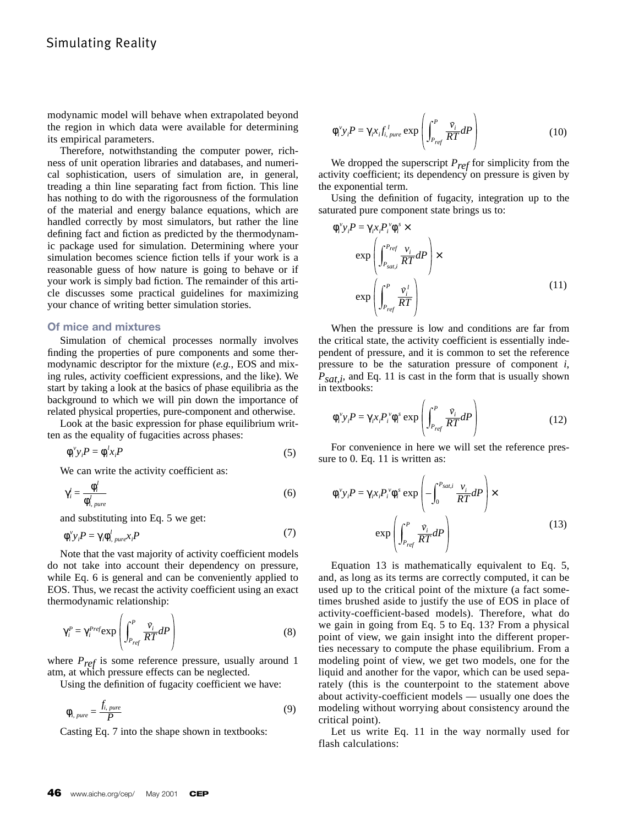modynamic model will behave when extrapolated beyond the region in which data were available for determining its empirical parameters.

Therefore, notwithstanding the computer power, richness of unit operation libraries and databases, and numerical sophistication, users of simulation are, in general, treading a thin line separating fact from fiction. This line has nothing to do with the rigorousness of the formulation of the material and energy balance equations, which are handled correctly by most simulators, but rather the line defining fact and fiction as predicted by the thermodynamic package used for simulation. Determining where your simulation becomes science fiction tells if your work is a reasonable guess of how nature is going to behave or if your work is simply bad fiction. The remainder of this article discusses some practical guidelines for maximizing your chance of writing better simulation stories.

## **Of mice and mixtures**

Simulation of chemical processes normally involves finding the properties of pure components and some thermodynamic descriptor for the mixture (*e.g.*, EOS and mixing rules, activity coefficient expressions, and the like). We start by taking a look at the basics of phase equilibria as the background to which we will pin down the importance of related physical properties, pure-component and otherwise.

Look at the basic expression for phase equilibrium written as the equality of fugacities across phases:

$$
\phi_i^{\nu} y_i P = \phi_i^{\mu} x_i P \tag{5}
$$

We can write the activity coefficient as:

$$
\gamma_i^l = \frac{\phi_i^l}{\phi_{i,\,pure}^l} \tag{6}
$$

and substituting into Eq. 5 we get:

$$
\phi_i^{\nu} y_i P = \gamma_i \phi_{i, \, pure}^l x_i P \tag{7}
$$

Note that the vast majority of activity coefficient models do not take into account their dependency on pressure, while Eq. 6 is general and can be conveniently applied to EOS. Thus, we recast the activity coefficient using an exact thermodynamic relationship:

$$
\gamma_i^P = \gamma_i^{Pref} \exp\left(\int_{P_{ref}}^P \frac{\bar{v}_i}{RT} dP\right)
$$
\n(8)

where  $P_{ref}$  is some reference pressure, usually around 1 atm, at which pressure effects can be neglected.

Using the definition of fugacity coefficient we have:

$$
\phi_{i,\,pure} = \frac{f_{i,\,pure}}{P} \tag{9}
$$

Casting Eq. 7 into the shape shown in textbooks:

$$
\phi_i^{\nu} y_i P = \gamma_i x_i f_{i, \, pure}^{\, l} \exp\left(\int_{P_{ref}}^P \frac{\tilde{v}_i}{RT} dP\right)
$$
 (10)

We dropped the superscript *Pref* for simplicity from the activity coefficient; its dependency on pressure is given by the exponential term.

Using the definition of fugacity, integration up to the saturated pure component state brings us to:

$$
\phi_i^{\nu} y_i P = \gamma_i x_i P_i^{\nu} \phi_i^s \times
$$
  
\n
$$
\exp\left(\int_{P_{sat,i}}^{P_{ref}} \frac{v_i}{RT} dP\right) \times
$$
  
\n
$$
\exp\left(\int_{P_{ref}}^{P} \frac{\bar{v}_i^l}{RT}\right)
$$
\n(11)

When the pressure is low and conditions are far from the critical state, the activity coefficient is essentially independent of pressure, and it is common to set the reference pressure to be the saturation pressure of component *i*, *Psat,i*, and Eq. 11 is cast in the form that is usually shown in textbooks:

$$
\phi_i^{\nu} y_i P = \gamma_i x_i P_i^{\nu} \phi_i^s \exp\left(\int_{P_{ref}}^P \frac{\bar{v}_i}{RT} dP\right)
$$
 (12)

For convenience in here we will set the reference pressure to 0. Eq. 11 is written as:

$$
\phi_i^{\nu} y_i P = \gamma_i x_i P_i^{\nu} \phi_i^{\nu} \exp\left(-\int_0^{P_{sati}} \frac{v_i}{RT} dP\right) \times \exp\left(\int_{P_{ref}}^P \frac{\tilde{v}_i}{RT} dP\right)
$$
\n(13)

Equation 13 is mathematically equivalent to Eq. 5, and, as long as its terms are correctly computed, it can be used up to the critical point of the mixture (a fact sometimes brushed aside to justify the use of EOS in place of activity-coefficient-based models). Therefore, what do we gain in going from Eq. 5 to Eq. 13? From a physical point of view, we gain insight into the different properties necessary to compute the phase equilibrium. From a modeling point of view, we get two models, one for the liquid and another for the vapor, which can be used separately (this is the counterpoint to the statement above about activity-coefficient models — usually one does the modeling without worrying about consistency around the critical point).

Let us write Eq. 11 in the way normally used for flash calculations: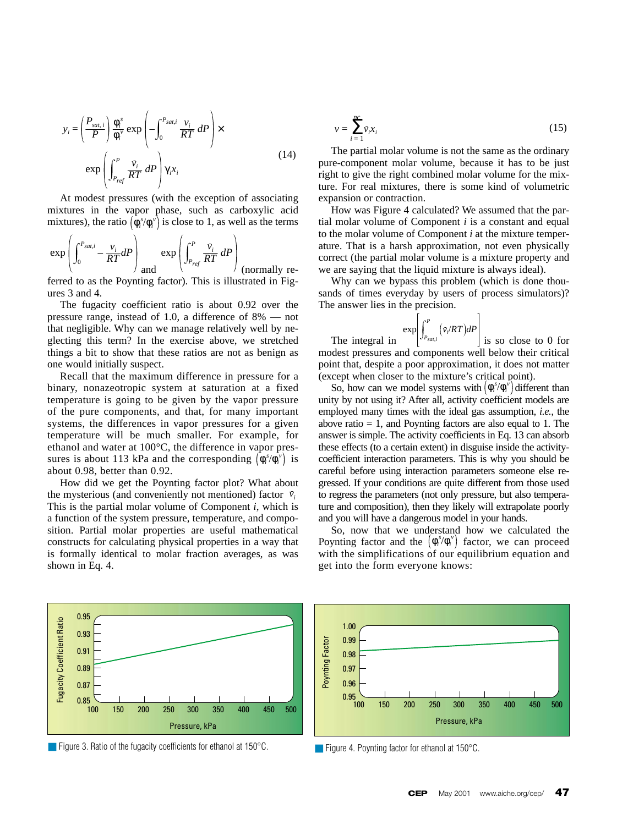$$
y_i = \left(\frac{P_{sat,i}}{P}\right) \frac{\phi_i^s}{\phi_i^v} \exp\left(-\int_0^{P_{sat,i}} \frac{v_i}{RT} \, dP\right) \times \exp\left(\int_{P_{ref}}^P \frac{\tilde{v}_i}{RT} \, dP\right) \gamma_i x_i \tag{14}
$$

At modest pressures (with the exception of associating mixtures in the vapor phase, such as carboxylic acid mixtures), the ratio  $(\phi_i^s / \phi_i^v)$  is close to 1, as well as the terms

$$
\exp\left(\int_0^{P_{sat,i}} -\frac{v_i}{RT}dP\right) \exp\left(\int_{P_{ref}}^P \frac{\bar{v}_i}{RT} dP\right)
$$
 (normally re-

ferred to as the Poynting factor). This is illustrated in Figures 3 and 4.

The fugacity coefficient ratio is about 0.92 over the pressure range, instead of 1.0, a difference of 8% — not that negligible. Why can we manage relatively well by neglecting this term? In the exercise above, we stretched things a bit to show that these ratios are not as benign as one would initially suspect.

Recall that the maximum difference in pressure for a binary, nonazeotropic system at saturation at a fixed temperature is going to be given by the vapor pressure of the pure components, and that, for many important systems, the differences in vapor pressures for a given temperature will be much smaller. For example, for ethanol and water at 100°C, the difference in vapor pressures is about 113 kPa and the corresponding  $(\phi_i^s / \phi_i^v)$  is about 0.98, better than 0.92.

How did we get the Poynting factor plot? What about the mysterious (and conveniently not mentioned) factor  $\bar{v}_i$ This is the partial molar volume of Component *i*, which is a function of the system pressure, temperature, and composition. Partial molar properties are useful mathematical constructs for calculating physical properties in a way that is formally identical to molar fraction averages, as was shown in Eq. 4.

$$
v = \sum_{i=1}^{nc} \bar{v}_i x_i
$$
 (15)

The partial molar volume is not the same as the ordinary pure-component molar volume, because it has to be just right to give the right combined molar volume for the mixture. For real mixtures, there is some kind of volumetric expansion or contraction.

How was Figure 4 calculated? We assumed that the partial molar volume of Component *i* is a constant and equal to the molar volume of Component *i* at the mixture temperature. That is a harsh approximation, not even physically correct (the partial molar volume is a mixture property and we are saying that the liquid mixture is always ideal).

Why can we bypass this problem (which is done thousands of times everyday by users of process simulators)? The answer lies in the precision.

$$
\exp\left[\int_{P_{Sat,i}}^P (\bar{v}_i/RT)dP\right]
$$

The integral in  $|^{JP_{sat,i}}|$  is so close to 0 for modest pressures and components well below their critical point that, despite a poor approximation, it does not matter (except when closer to the mixture's critical point).

So, how can we model systems with  $(\phi_i^s / \phi_i^v)$  different than unity by not using it? After all, activity coefficient models are employed many times with the ideal gas assumption, *i.e.,* the above ratio  $= 1$ , and Poynting factors are also equal to 1. The answer is simple. The activity coefficients in Eq. 13 can absorb these effects (to a certain extent) in disguise inside the activitycoefficient interaction parameters. This is why you should be careful before using interaction parameters someone else regressed. If your conditions are quite different from those used to regress the parameters (not only pressure, but also temperature and composition), then they likely will extrapolate poorly and you will have a dangerous model in your hands.

So, now that we understand how we calculated the Poynting factor and the  $(\phi_i^s / \phi_i^v)$  factor, we can proceed with the simplifications of our equilibrium equation and get into the form everyone knows:



■ Figure 3. Ratio of the fugacity coefficients for ethanol at 150 °C.



■ Figure 4. Poynting factor for ethanol at 150°C.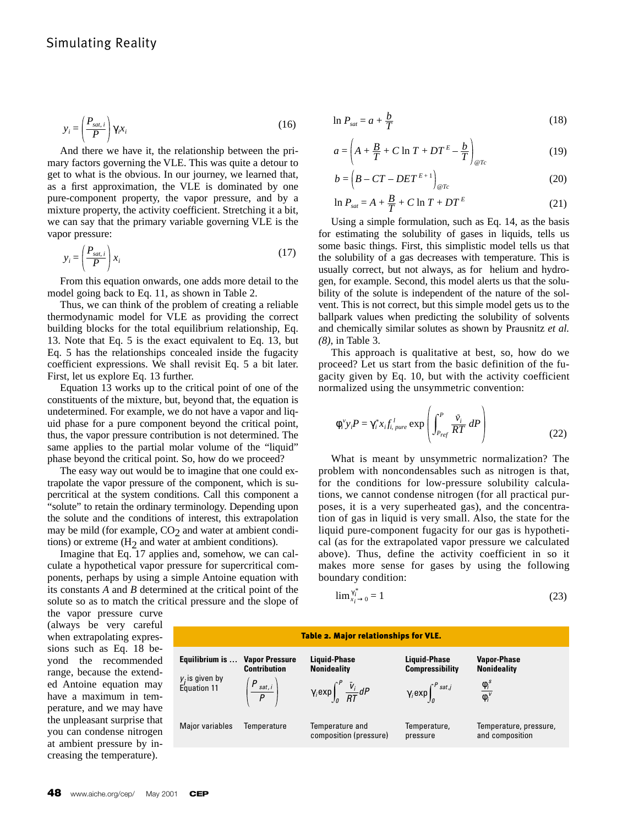$$
y_i = \left(\frac{P_{sat,i}}{P}\right) \gamma_i x_i \tag{16}
$$

And there we have it, the relationship between the primary factors governing the VLE. This was quite a detour to get to what is the obvious. In our journey, we learned that, as a first approximation, the VLE is dominated by one pure-component property, the vapor pressure, and by a mixture property, the activity coefficient. Stretching it a bit, we can say that the primary variable governing VLE is the vapor pressure:

$$
y_i = \left(\frac{P_{sat,i}}{P}\right)x_i
$$
 (17)

From this equation onwards, one adds more detail to the model going back to Eq. 11, as shown in Table 2.

Thus, we can think of the problem of creating a reliable thermodynamic model for VLE as providing the correct building blocks for the total equilibrium relationship, Eq. 13. Note that Eq. 5 is the exact equivalent to Eq. 13, but Eq. 5 has the relationships concealed inside the fugacity coefficient expressions. We shall revisit Eq. 5 a bit later. First, let us explore Eq. 13 further.

Equation 13 works up to the critical point of one of the constituents of the mixture, but, beyond that, the equation is undetermined. For example, we do not have a vapor and liquid phase for a pure component beyond the critical point, thus, the vapor pressure contribution is not determined. The same applies to the partial molar volume of the "liquid" phase beyond the critical point. So, how do we proceed?

The easy way out would be to imagine that one could extrapolate the vapor pressure of the component, which is supercritical at the system conditions. Call this component a "solute" to retain the ordinary terminology. Depending upon the solute and the conditions of interest, this extrapolation may be mild (for example,  $CO<sub>2</sub>$  and water at ambient conditions) or extreme  $(H<sub>2</sub>)$  and water at ambient conditions).

Imagine that Eq. 17 applies and, somehow, we can calculate a hypothetical vapor pressure for supercritical components, perhaps by using a simple Antoine equation with its constants *A* and *B* determined at the critical point of the solute so as to match the critical pressure and the slope of

$$
\ln P_{sat} = a + \frac{b}{T} \tag{18}
$$

$$
a = \left(A + \frac{B}{T} + C \ln T + DT^E - \frac{b}{T}\right)_{\text{C}Tc}
$$
 (19)

$$
b = \left(B - CT - DET^{E+1}\right)_{\text{CFT}} \tag{20}
$$

$$
\ln P_{sat} = A + \frac{B}{T} + C \ln T + DT^E \tag{21}
$$

Using a simple formulation, such as Eq. 14, as the basis for estimating the solubility of gases in liquids, tells us some basic things. First, this simplistic model tells us that the solubility of a gas decreases with temperature. This is usually correct, but not always, as for helium and hydrogen, for example. Second, this model alerts us that the solubility of the solute is independent of the nature of the solvent. This is not correct, but this simple model gets us to the ballpark values when predicting the solubility of solvents and chemically similar solutes as shown by Prausnitz *et al. (8)*, in Table 3.

This approach is qualitative at best, so, how do we proceed? Let us start from the basic definition of the fugacity given by Eq. 10, but with the activity coefficient normalized using the unsymmetric convention:

$$
\phi_i^{\nu} y_i P = \gamma_i^* x_i f_{i,\,pure}^{\,l} \exp\left(\int_{P_{ref}}^P \frac{\bar{v}_i}{RT} \, dP\right)
$$
\n(22)

What is meant by unsymmetric normalization? The problem with noncondensables such as nitrogen is that, for the conditions for low-pressure solubility calculations, we cannot condense nitrogen (for all practical purposes, it is a very superheated gas), and the concentration of gas in liquid is very small. Also, the state for the liquid pure-component fugacity for our gas is hypothetical (as for the extrapolated vapor pressure we calculated above). Thus, define the activity coefficient in so it makes more sense for gases by using the following boundary condition:

$$
\lim_{x_i \to 0} \frac{x_i^*}{x_i} = 1 \tag{23}
$$

the vapor pressure curve (always be very careful when extrapolating expressions such as Eq. 18 beyond the recommended range, because the extended Antoine equation may have a maximum in temperature, and we may have the unpleasant surprise that you can condense nitrogen at ambient pressure by increasing the temperature).

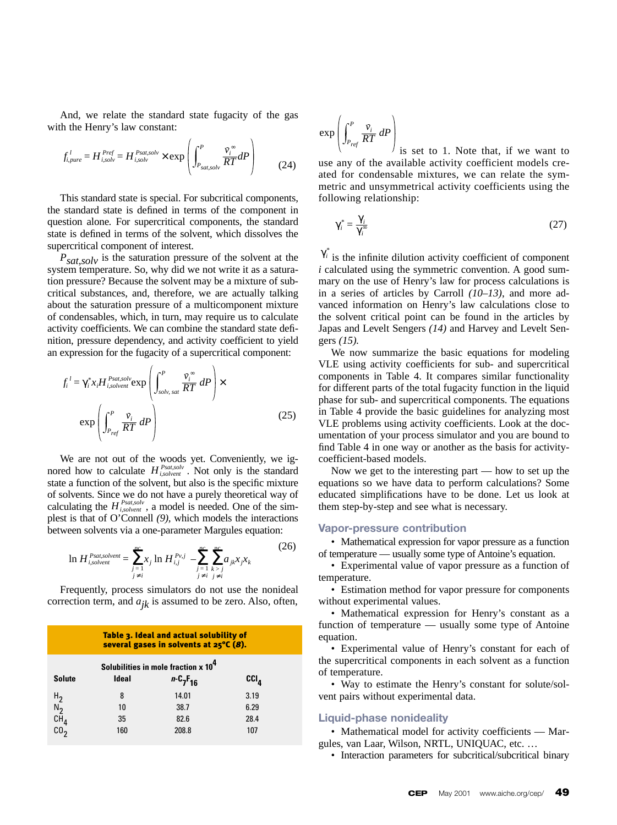And, we relate the standard state fugacity of the gas with the Henry's law constant:

$$
f_{i,pure}^l = H_{i,solv}^{Pref} = H_{i,solv}^{Psat,olv} \times \exp\left(\int_{P_{sat,solv}}^P \frac{\tilde{v}_i^{\infty}}{RT} dP\right)
$$
(24)

This standard state is special. For subcritical components, the standard state is defined in terms of the component in question alone*.* For supercritical components, the standard state is defined in terms of the solvent, which dissolves the supercritical component of interest.

*P<sub>sat,solv</sub>* is the saturation pressure of the solvent at the system temperature. So, why did we not write it as a saturation pressure? Because the solvent may be a mixture of subcritical substances, and, therefore, we are actually talking about the saturation pressure of a multicomponent mixture of condensables, which, in turn, may require us to calculate activity coefficients. We can combine the standard state definition, pressure dependency, and activity coefficient to yield an expression for the fugacity of a supercritical component:

$$
f_i^{\ l} = \gamma_i^* x_i H_{i,solvent}^{Psat,solv} \exp\left(\int_{solv, sat}^P \frac{\tilde{v}_i^{\infty}}{RT} \, dP\right) \times \exp\left(\int_{P_{ref}}^P \frac{\tilde{v}_i}{RT} \, dP\right) \tag{25}
$$

We are not out of the woods yet. Conveniently, we ignored how to calculate  $H_{isolvent}^{Psat, solv}$ . Not only is the standard state a function of the solvent, but also is the specific mixture of solvents. Since we do not have a purely theoretical way of calculating the  $H_{isobvent}^{Pstat, solv}$ , a model is needed. One of the simplest is that of O'Connell *(9),* which models the interactions between solvents via a one-parameter Margules equation:

$$
\ln H_{i,solvent}^{Psat,solvent} = \sum_{\substack{j=1 \ j \neq i}}^{nc} x_j \ln H_{i,j}^{Pv,j} - \sum_{\substack{j=1 \ k>j}}^{nc} \sum_{\substack{k>j \ k \neq i}}^{nc} x_j x_k \tag{26}
$$

Frequently, process simulators do not use the nonideal correction term, and  $a_{jk}$  is assumed to be zero. Also, often,

| Table 3. Ideal and actual solubility of<br>several gases in solvents at 25°C (8). |       |                 |         |  |  |
|-----------------------------------------------------------------------------------|-------|-----------------|---------|--|--|
| Solubilities in mole fraction x 10 <sup>4</sup>                                   |       |                 |         |  |  |
| <b>Solute</b>                                                                     | Ideal | $n - C_7F_{16}$ | $ccI_a$ |  |  |
|                                                                                   | 8     | 14.01           | 3.19    |  |  |
| $\frac{H_2}{N_2}$                                                                 | 10    | 38.7            | 6.29    |  |  |
| $c\bar{H}_4$                                                                      | 35    | 82.6            | 28.4    |  |  |
| CO <sub>2</sub>                                                                   | 160   | 208.8           | 107     |  |  |

$$
\exp\left(\int_{P_{ref}}^P \frac{\bar{v}_i}{RT} \, dP\right)
$$

 $\frac{1}{1}$  is set to 1. Note that, if we want to use any of the available activity coefficient models created for condensable mixtures, we can relate the symmetric and unsymmetrical activity coefficients using the following relationship:

$$
\gamma_i^* = \frac{\gamma_i}{\gamma_i^*} \tag{27}
$$

 $\gamma_i^*$  is the infinite dilution activity coefficient of component *i* calculated using the symmetric convention. A good summary on the use of Henry's law for process calculations is in a series of articles by Carroll *(10–13)*, and more advanced information on Henry's law calculations close to the solvent critical point can be found in the articles by Japas and Levelt Sengers *(14)* and Harvey and Levelt Sengers *(15).*

We now summarize the basic equations for modeling VLE using activity coefficients for sub- and supercritical components in Table 4. It compares similar functionality for different parts of the total fugacity function in the liquid phase for sub- and supercritical components. The equations in Table 4 provide the basic guidelines for analyzing most VLE problems using activity coefficients. Look at the documentation of your process simulator and you are bound to find Table 4 in one way or another as the basis for activitycoefficient-based models.

Now we get to the interesting part — how to set up the equations so we have data to perform calculations? Some educated simplifications have to be done. Let us look at them step-by-step and see what is necessary.

#### **Vapor-pressure contribution**

• Mathematical expression for vapor pressure as a function of temperature — usually some type of Antoine's equation.

• Experimental value of vapor pressure as a function of temperature.

• Estimation method for vapor pressure for components without experimental values.

• Mathematical expression for Henry's constant as a function of temperature — usually some type of Antoine equation.

• Experimental value of Henry's constant for each of the supercritical components in each solvent as a function of temperature.

• Way to estimate the Henry's constant for solute/solvent pairs without experimental data.

#### **Liquid-phase nonideality**

• Mathematical model for activity coefficients — Margules, van Laar, Wilson, NRTL, UNIQUAC, etc. …

• Interaction parameters for subcritical/subcritical binary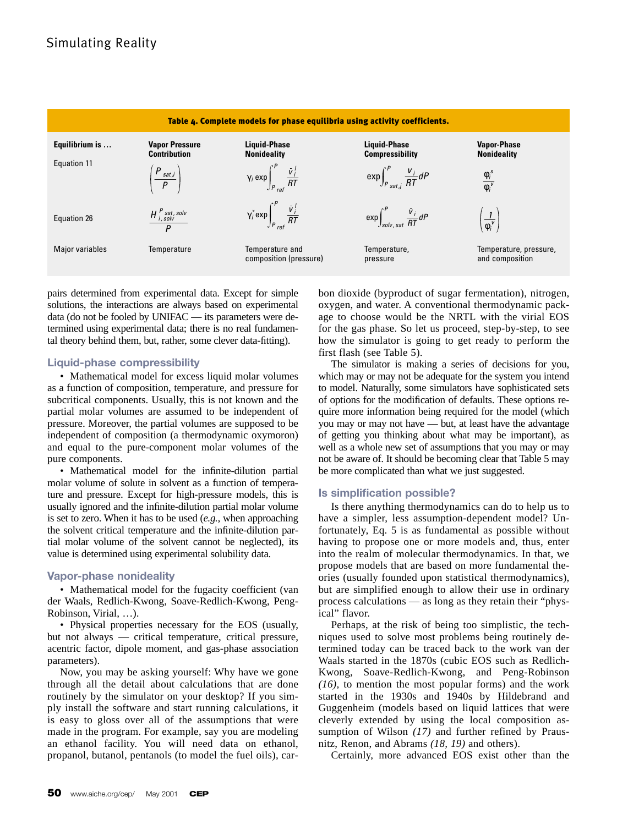

pairs determined from experimental data. Except for simple solutions, the interactions are always based on experimental data (do not be fooled by UNIFAC — its parameters were determined using experimental data; there is no real fundamental theory behind them, but, rather, some clever data-fitting).

## **Liquid-phase compressibility**

• Mathematical model for excess liquid molar volumes as a function of composition, temperature, and pressure for subcritical components. Usually, this is not known and the partial molar volumes are assumed to be independent of pressure. Moreover, the partial volumes are supposed to be independent of composition (a thermodynamic oxymoron) and equal to the pure-component molar volumes of the pure components.

• Mathematical model for the infinite-dilution partial molar volume of solute in solvent as a function of temperature and pressure. Except for high-pressure models, this is usually ignored and the infinite-dilution partial molar volume is set to zero. When it has to be used (*e.g.,* when approaching the solvent critical temperature and the infinite-dilution partial molar volume of the solvent cannot be neglected), its value is determined using experimental solubility data.

# **Vapor-phase nonideality**

• Mathematical model for the fugacity coefficient (van der Waals, Redlich-Kwong, Soave-Redlich-Kwong, Peng-Robinson, Virial, …).

• Physical properties necessary for the EOS (usually, but not always — critical temperature, critical pressure, acentric factor, dipole moment, and gas-phase association parameters).

Now, you may be asking yourself: Why have we gone through all the detail about calculations that are done routinely by the simulator on your desktop? If you simply install the software and start running calculations, it is easy to gloss over all of the assumptions that were made in the program. For example, say you are modeling an ethanol facility. You will need data on ethanol, propanol, butanol, pentanols (to model the fuel oils), carbon dioxide (byproduct of sugar fermentation), nitrogen, oxygen, and water. A conventional thermodynamic package to choose would be the NRTL with the virial EOS for the gas phase. So let us proceed, step-by-step, to see how the simulator is going to get ready to perform the first flash (see Table 5).

The simulator is making a series of decisions for you, which may or may not be adequate for the system you intend to model. Naturally, some simulators have sophisticated sets of options for the modification of defaults. These options require more information being required for the model (which you may or may not have — but, at least have the advantage of getting you thinking about what may be important), as well as a whole new set of assumptions that you may or may not be aware of. It should be becoming clear that Table 5 may be more complicated than what we just suggested.

## **Is simplification possible?**

Is there anything thermodynamics can do to help us to have a simpler, less assumption-dependent model? Unfortunately, Eq. 5 is as fundamental as possible without having to propose one or more models and, thus, enter into the realm of molecular thermodynamics. In that, we propose models that are based on more fundamental theories (usually founded upon statistical thermodynamics), but are simplified enough to allow their use in ordinary process calculations — as long as they retain their "physical" flavor.

Perhaps, at the risk of being too simplistic, the techniques used to solve most problems being routinely determined today can be traced back to the work van der Waals started in the 1870s (cubic EOS such as Redlich-Kwong, Soave-Redlich-Kwong, and Peng-Robinson *(16),* to mention the most popular forms) and the work started in the 1930s and 1940s by Hildebrand and Guggenheim (models based on liquid lattices that were cleverly extended by using the local composition assumption of Wilson *(17)* and further refined by Prausnitz, Renon, and Abrams *(18, 19)* and others).

Certainly, more advanced EOS exist other than the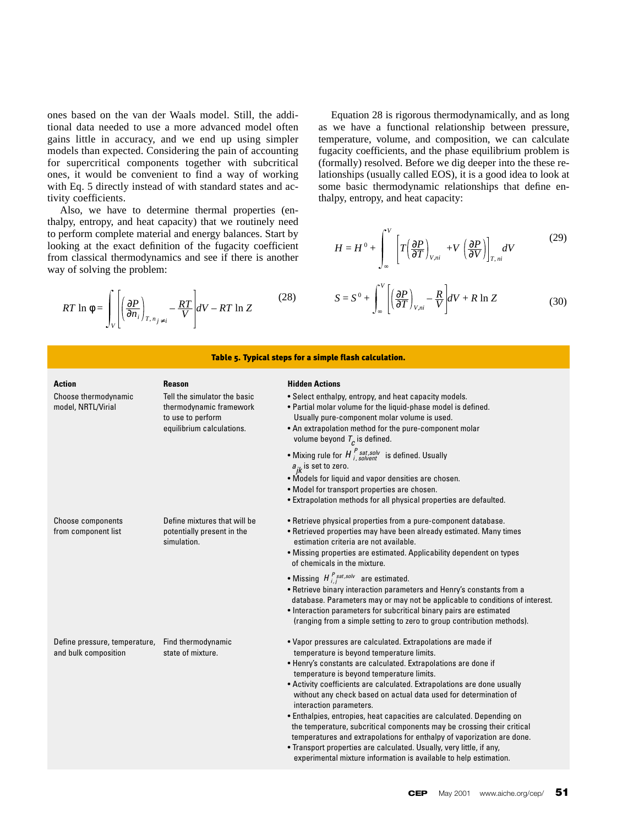ones based on the van der Waals model. Still, the additional data needed to use a more advanced model often gains little in accuracy, and we end up using simpler models than expected. Considering the pain of accounting for supercritical components together with subcritical ones, it would be convenient to find a way of working with Eq. 5 directly instead of with standard states and activity coefficients.

Also, we have to determine thermal properties (enthalpy, entropy, and heat capacity) that we routinely need to perform complete material and energy balances. Start by looking at the exact definition of the fugacity coefficient from classical thermodynamics and see if there is another way of solving the problem:

$$
RT \ln \phi = \int_{V} \left[ \left( \frac{\partial P}{\partial n_i} \right)_{T, n_{j \neq i}} - \frac{RT}{V} \right] dV - RT \ln Z \qquad (28)
$$

Equation 28 is rigorous thermodynamically, and as long as we have a functional relationship between pressure, temperature, volume, and composition, we can calculate fugacity coefficients, and the phase equilibrium problem is (formally) resolved. Before we dig deeper into the these relationships (usually called EOS), it is a good idea to look at some basic thermodynamic relationships that define enthalpy, entropy, and heat capacity:

$$
H = H^{0} + \int_{\infty}^{V} \left[ T \left( \frac{\partial P}{\partial T} \right)_{V,ni} + V \left( \frac{\partial P}{\partial V} \right) \right]_{T,ni} dV
$$
 (29)

$$
S = S^{0} + \int_{\infty}^{V} \left[ \left( \frac{\partial P}{\partial T} \right)_{V,ni} - \frac{R}{V} \right] dV + R \ln Z \tag{30}
$$

| Table 5. Typical steps for a simple flash calculation. |                                                                                                           |                                                                                                                                                                                                                                                                                                                                                                                                                                                                                                                                                                                                                                                                                                                                                                              |  |  |  |  |
|--------------------------------------------------------|-----------------------------------------------------------------------------------------------------------|------------------------------------------------------------------------------------------------------------------------------------------------------------------------------------------------------------------------------------------------------------------------------------------------------------------------------------------------------------------------------------------------------------------------------------------------------------------------------------------------------------------------------------------------------------------------------------------------------------------------------------------------------------------------------------------------------------------------------------------------------------------------------|--|--|--|--|
| Action                                                 | <b>Reason</b>                                                                                             | <b>Hidden Actions</b>                                                                                                                                                                                                                                                                                                                                                                                                                                                                                                                                                                                                                                                                                                                                                        |  |  |  |  |
| Choose thermodynamic<br>model, NRTL/Virial             | Tell the simulator the basic<br>thermodynamic framework<br>to use to perform<br>equilibrium calculations. | • Select enthalpy, entropy, and heat capacity models.<br>• Partial molar volume for the liquid-phase model is defined.<br>Usually pure-component molar volume is used.<br>• An extrapolation method for the pure-component molar<br>volume beyond $T_c$ is defined.                                                                                                                                                                                                                                                                                                                                                                                                                                                                                                          |  |  |  |  |
|                                                        |                                                                                                           | • Mixing rule for $H^{P}_{i,sub}^{sat,sub}$ is defined. Usually<br>$a_{ik}$ is set to zero.<br>. Models for liquid and vapor densities are chosen.<br>• Model for transport properties are chosen.<br>• Extrapolation methods for all physical properties are defaulted.                                                                                                                                                                                                                                                                                                                                                                                                                                                                                                     |  |  |  |  |
| <b>Choose components</b><br>from component list        | Define mixtures that will be<br>potentially present in the<br>simulation.                                 | • Retrieve physical properties from a pure-component database.<br>• Retrieved properties may have been already estimated. Many times<br>estimation criteria are not available.<br>• Missing properties are estimated. Applicability dependent on types<br>of chemicals in the mixture.                                                                                                                                                                                                                                                                                                                                                                                                                                                                                       |  |  |  |  |
|                                                        |                                                                                                           | • Missing $H_{i,j}^{P_{sat,solv}}$ are estimated.<br>• Retrieve binary interaction parameters and Henry's constants from a<br>database. Parameters may or may not be applicable to conditions of interest.<br>• Interaction parameters for subcritical binary pairs are estimated<br>(ranging from a simple setting to zero to group contribution methods).                                                                                                                                                                                                                                                                                                                                                                                                                  |  |  |  |  |
| Define pressure, temperature,<br>and bulk composition  | Find thermodynamic<br>state of mixture.                                                                   | • Vapor pressures are calculated. Extrapolations are made if<br>temperature is beyond temperature limits.<br>• Henry's constants are calculated. Extrapolations are done if<br>temperature is beyond temperature limits.<br>• Activity coefficients are calculated. Extrapolations are done usually<br>without any check based on actual data used for determination of<br>interaction parameters.<br>• Enthalpies, entropies, heat capacities are calculated. Depending on<br>the temperature, subcritical components may be crossing their critical<br>temperatures and extrapolations for enthalpy of vaporization are done.<br>. Transport properties are calculated. Usually, very little, if any,<br>experimental mixture information is available to help estimation. |  |  |  |  |